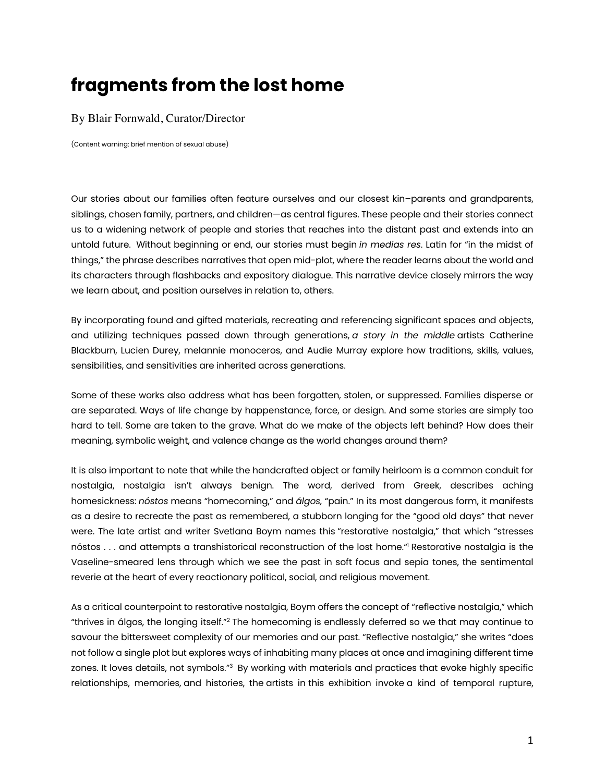## **fragments from the lost home**

## By Blair Fornwald, Curator/Director

(Content warning: brief mention of sexual abuse)

Our stories about our families often feature ourselves and our closest kin–parents and grandparents, siblings, chosen family, partners, and children—as central figures. These people and their stories connect us to a widening network of people and stories that reaches into the distant past and extends into an untold future. Without beginning or end, our stories must begin *in medias res*. Latin for "in the midst of things," the phrase describes narratives that open mid-plot, where the reader learns about the world and its characters through flashbacks and expository dialogue. This narrative device closely mirrors the way we learn about, and position ourselves in relation to, others.

By incorporating found and gifted materials, recreating and referencing significant spaces and objects, and utilizing techniques passed down through generations, *a story in the middle* artists Catherine Blackburn, Lucien Durey, melannie monoceros, and Audie Murray explore how traditions, skills, values, sensibilities, and sensitivities are inherited across generations.

Some of these works also address what has been forgotten, stolen, or suppressed. Families disperse or are separated. Ways of life change by happenstance, force, or design. And some stories are simply too hard to tell. Some are taken to the grave. What do we make of the objects left behind? How does their meaning, symbolic weight, and valence change as the world changes around them?

It is also important to note that while the handcrafted object or family heirloom is a common conduit for nostalgia, nostalgia isn't always benign. The word, derived from Greek, describes aching homesickness: *nóstos* means "homecoming," and *álgos,* "pain." In its most dangerous form, it manifests as a desire to recreate the past as remembered, a stubborn longing for the "good old days" that never were. The late artist and writer Svetlana Boym names this "restorative nostalgia," that which "stresses nóstos . . . and attempts a transhistorical reconstruction of the lost home."1 Restorative nostalgia is the Vaseline-smeared lens through which we see the past in soft focus and sepia tones, the sentimental reverie at the heart of every reactionary political, social, and religious movement.

As a critical counterpoint to restorative nostalgia, Boym offers the concept of "reflective nostalgia," which "thrives in álgos, the longing itself."2 The homecoming is endlessly deferred so we that may continue to savour the bittersweet complexity of our memories and our past. "Reflective nostalgia," she writes "does not follow a single plot but explores ways of inhabiting many places at once and imagining different time zones. It loves details, not symbols."<sup>3</sup> By working with materials and practices that evoke highly specific relationships, memories, and histories, the artists in this exhibition invoke a kind of temporal rupture,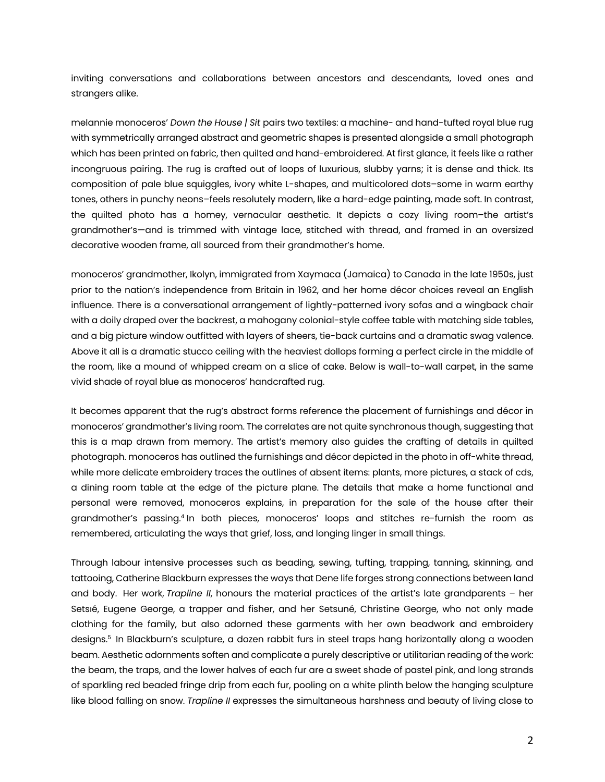inviting conversations and collaborations between ancestors and descendants, loved ones and strangers alike.

melannie monoceros' *Down the House | Sit* pairs two textiles: a machine- and hand-tufted royal blue rug with symmetrically arranged abstract and geometric shapes is presented alongside a small photograph which has been printed on fabric, then quilted and hand-embroidered. At first glance, it feels like a rather incongruous pairing. The rug is crafted out of loops of luxurious, slubby yarns; it is dense and thick. Its composition of pale blue squiggles, ivory white L-shapes, and multicolored dots–some in warm earthy tones, others in punchy neons–feels resolutely modern, like a hard-edge painting, made soft. In contrast, the quilted photo has a homey, vernacular aesthetic. It depicts a cozy living room–the artist's grandmother's—and is trimmed with vintage lace, stitched with thread, and framed in an oversized decorative wooden frame, all sourced from their grandmother's home.

monoceros' grandmother, Ikolyn, immigrated from Xaymaca (Jamaica) to Canada in the late 1950s, just prior to the nation's independence from Britain in 1962, and her home décor choices reveal an English influence. There is a conversational arrangement of lightly-patterned ivory sofas and a wingback chair with a doily draped over the backrest, a mahogany colonial-style coffee table with matching side tables, and a big picture window outfitted with layers of sheers, tie-back curtains and a dramatic swag valence. Above it all is a dramatic stucco ceiling with the heaviest dollops forming a perfect circle in the middle of the room, like a mound of whipped cream on a slice of cake. Below is wall-to-wall carpet, in the same vivid shade of royal blue as monoceros' handcrafted rug.

It becomes apparent that the rug's abstract forms reference the placement of furnishings and décor in monoceros' grandmother's living room. The correlates are not quite synchronous though, suggesting that this is a map drawn from memory. The artist's memory also guides the crafting of details in quilted photograph. monoceros has outlined the furnishings and décor depicted in the photo in off-white thread, while more delicate embroidery traces the outlines of absent items: plants, more pictures, a stack of cds, a dining room table at the edge of the picture plane. The details that make a home functional and personal were removed, monoceros explains, in preparation for the sale of the house after their grandmother's passing.4 In both pieces, monoceros' loops and stitches re-furnish the room as remembered, articulating the ways that grief, loss, and longing linger in small things.

Through labour intensive processes such as beading, sewing, tufting, trapping, tanning, skinning, and tattooing, Catherine Blackburn expresses the ways that Dene life forges strong connections between land and body. Her work, *Trapline II*, honours the material practices of the artist's late grandparents – her Setsıé, Eugene George, a trapper and fisher, and her Setsuné, Christine George, who not only made clothing for the family, but also adorned these garments with her own beadwork and embroidery designs.<sup>5</sup> In Blackburn's sculpture, a dozen rabbit furs in steel traps hang horizontally along a wooden beam. Aesthetic adornments soften and complicate a purely descriptive or utilitarian reading of the work: the beam, the traps, and the lower halves of each fur are a sweet shade of pastel pink, and long strands of sparkling red beaded fringe drip from each fur, pooling on a white plinth below the hanging sculpture like blood falling on snow. *Trapline II* expresses the simultaneous harshness and beauty of living close to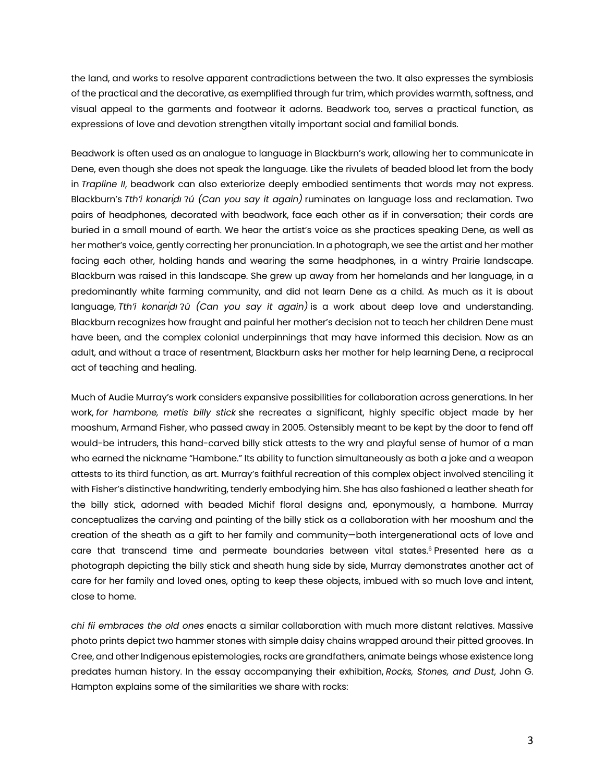the land, and works to resolve apparent contradictions between the two. It also expresses the symbiosis of the practical and the decorative, as exemplified through fur trim, which provides warmth, softness, and visual appeal to the garments and footwear it adorns. Beadwork too, serves a practical function, as expressions of love and devotion strengthen vitally important social and familial bonds.

Beadwork is often used as an analogue to language in Blackburn's work, allowing her to communicate in Dene, even though she does not speak the language. Like the rivulets of beaded blood let from the body in *Trapline II*, beadwork can also exteriorize deeply embodied sentiments that words may not express. Blackburn's *Tth'i konariali* ?*ú* (Can you say it again) ruminates on language loss and reclamation. Two pairs of headphones, decorated with beadwork, face each other as if in conversation; their cords are buried in a small mound of earth. We hear the artist's voice as she practices speaking Dene, as well as her mother's voice, gently correcting her pronunciation. In a photograph, we see the artist and her mother facing each other, holding hands and wearing the same headphones, in a wintry Prairie landscape. Blackburn was raised in this landscape. She grew up away from her homelands and her language, in a predominantly white farming community, and did not learn Dene as a child. As much as it is about language, *Tth'i konarı̨́dı* Ɂ*ú (Can you say it again)* is a work about deep love and understanding. Blackburn recognizes how fraught and painful her mother's decision not to teach her children Dene must have been, and the complex colonial underpinnings that may have informed this decision. Now as an adult, and without a trace of resentment, Blackburn asks her mother for help learning Dene, a reciprocal act of teaching and healing.

Much of Audie Murray's work considers expansive possibilities for collaboration across generations. In her work, *for hambone, metis billy stick* she recreates a significant, highly specific object made by her mooshum, Armand Fisher, who passed away in 2005. Ostensibly meant to be kept by the door to fend off would-be intruders, this hand-carved billy stick attests to the wry and playful sense of humor of a man who earned the nickname "Hambone." Its ability to function simultaneously as both a joke and a weapon attests to its third function, as art. Murray's faithful recreation of this complex object involved stenciling it with Fisher's distinctive handwriting, tenderly embodying him. She has also fashioned a leather sheath for the billy stick, adorned with beaded Michif floral designs and, eponymously, a hambone. Murray conceptualizes the carving and painting of the billy stick as a collaboration with her mooshum and the creation of the sheath as a gift to her family and community—both intergenerational acts of love and care that transcend time and permeate boundaries between vital states.<sup>6</sup> Presented here as a photograph depicting the billy stick and sheath hung side by side, Murray demonstrates another act of care for her family and loved ones, opting to keep these objects, imbued with so much love and intent, close to home.

*chi fii embraces the old ones* enacts a similar collaboration with much more distant relatives. Massive photo prints depict two hammer stones with simple daisy chains wrapped around their pitted grooves. In Cree, and other Indigenous epistemologies, rocks are grandfathers, animate beings whose existence long predates human history. In the essay accompanying their exhibition, *Rocks, Stones, and Dust*, John G. Hampton explains some of the similarities we share with rocks: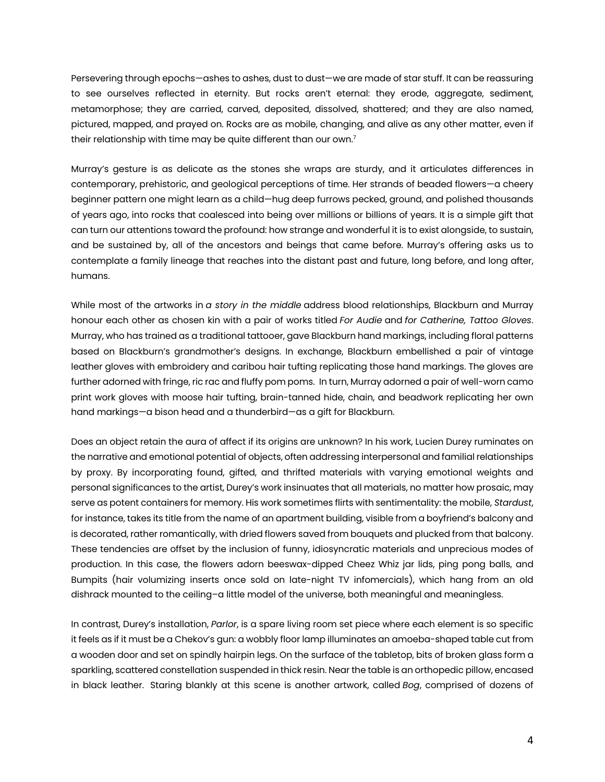Persevering through epochs—ashes to ashes, dust to dust—we are made of star stuff. It can be reassuring to see ourselves reflected in eternity. But rocks aren't eternal: they erode, aggregate, sediment, metamorphose; they are carried, carved, deposited, dissolved, shattered; and they are also named, pictured, mapped, and prayed on. Rocks are as mobile, changing, and alive as any other matter, even if their relationship with time may be quite different than our own.7

Murray's gesture is as delicate as the stones she wraps are sturdy, and it articulates differences in contemporary, prehistoric, and geological perceptions of time. Her strands of beaded flowers—a cheery beginner pattern one might learn as a child—hug deep furrows pecked, ground, and polished thousands of years ago, into rocks that coalesced into being over millions or billions of years. It is a simple gift that can turn our attentions toward the profound: how strange and wonderful it is to exist alongside, to sustain, and be sustained by, all of the ancestors and beings that came before. Murray's offering asks us to contemplate a family lineage that reaches into the distant past and future, long before, and long after, humans.

While most of the artworks in *a story in the middle* address blood relationships, Blackburn and Murray honour each other as chosen kin with a pair of works titled *For Audie* and *for Catherine, Tattoo Gloves*. Murray, who has trained as a traditional tattooer, gave Blackburn hand markings, including floral patterns based on Blackburn's grandmother's designs. In exchange, Blackburn embellished a pair of vintage leather gloves with embroidery and caribou hair tufting replicating those hand markings. The gloves are further adorned with fringe, ric rac and fluffy pom poms. In turn, Murray adorned a pair of well-worn camo print work gloves with moose hair tufting, brain-tanned hide, chain, and beadwork replicating her own hand markings—a bison head and a thunderbird—as a gift for Blackburn.

Does an object retain the aura of affect if its origins are unknown? In his work, Lucien Durey ruminates on the narrative and emotional potential of objects, often addressing interpersonal and familial relationships by proxy. By incorporating found, gifted, and thrifted materials with varying emotional weights and personal significances to the artist, Durey's work insinuates that all materials, no matter how prosaic, may serve as potent containers for memory. His work sometimes flirts with sentimentality: the mobile, *Stardust*, for instance, takes its title from the name of an apartment building, visible from a boyfriend's balcony and is decorated, rather romantically, with dried flowers saved from bouquets and plucked from that balcony. These tendencies are offset by the inclusion of funny, idiosyncratic materials and unprecious modes of production. In this case, the flowers adorn beeswax-dipped Cheez Whiz jar lids, ping pong balls, and Bumpits (hair volumizing inserts once sold on late-night TV infomercials), which hang from an old dishrack mounted to the ceiling–a little model of the universe, both meaningful and meaningless.

In contrast, Durey's installation, *Parlor*, is a spare living room set piece where each element is so specific it feels as if it must be a Chekov's gun: a wobbly floor lamp illuminates an amoeba-shaped table cut from a wooden door and set on spindly hairpin legs. On the surface of the tabletop, bits of broken glass form a sparkling, scattered constellation suspended in thick resin. Near the table is an orthopedic pillow, encased in black leather. Staring blankly at this scene is another artwork, called *Bog*, comprised of dozens of